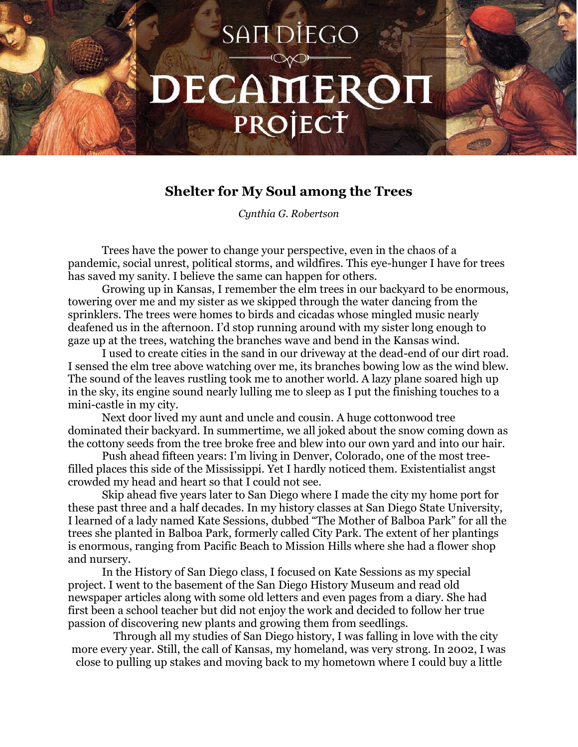## SAIT DIEGO DECAMERON PROJECT

## **Shelter for My Soul among the Trees**

*Cynthia G. Robertson*

Trees have the power to change your perspective, even in the chaos of a pandemic, social unrest, political storms, and wildfires. This eye-hunger I have for trees has saved my sanity. I believe the same can happen for others.

Growing up in Kansas, I remember the elm trees in our backyard to be enormous, towering over me and my sister as we skipped through the water dancing from the sprinklers. The trees were homes to birds and cicadas whose mingled music nearly deafened us in the afternoon. I'd stop running around with my sister long enough to gaze up at the trees, watching the branches wave and bend in the Kansas wind.

I used to create cities in the sand in our driveway at the dead-end of our dirt road. I sensed the elm tree above watching over me, its branches bowing low as the wind blew. The sound of the leaves rustling took me to another world. A lazy plane soared high up in the sky, its engine sound nearly lulling me to sleep as I put the finishing touches to a mini-castle in my city.

Next door lived my aunt and uncle and cousin. A huge cottonwood tree dominated their backyard. In summertime, we all joked about the snow coming down as the cottony seeds from the tree broke free and blew into our own yard and into our hair.

Push ahead fifteen years: I'm living in Denver, Colorado, one of the most treefilled places this side of the Mississippi. Yet I hardly noticed them. Existentialist angst crowded my head and heart so that I could not see.

Skip ahead five years later to San Diego where I made the city my home port for these past three and a half decades. In my history classes at San Diego State University, I learned of a lady named Kate Sessions, dubbed "The Mother of Balboa Park" for all the trees she planted in Balboa Park, formerly called City Park. The extent of her plantings is enormous, ranging from Pacific Beach to Mission Hills where she had a flower shop and nursery.

In the History of San Diego class, I focused on Kate Sessions as my special project. I went to the basement of the San Diego History Museum and read old newspaper articles along with some old letters and even pages from a diary. She had first been a school teacher but did not enjoy the work and decided to follow her true passion of discovering new plants and growing them from seedlings.

Through all my studies of San Diego history, I was falling in love with the city more every year. Still, the call of Kansas, my homeland, was very strong. In 2002, I was close to pulling up stakes and moving back to my hometown where I could buy a little